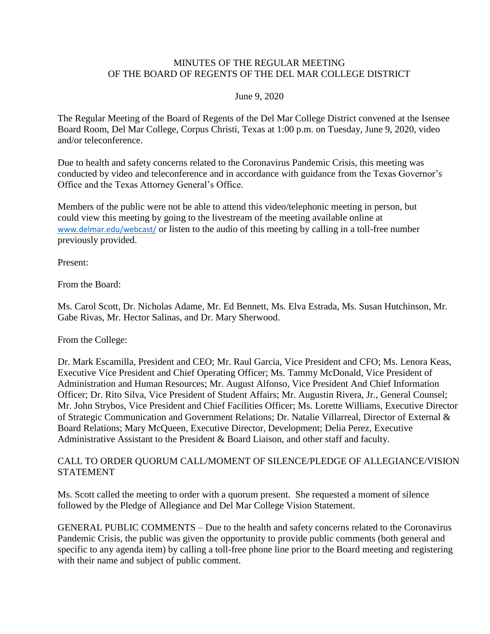### MINUTES OF THE REGULAR MEETING OF THE BOARD OF REGENTS OF THE DEL MAR COLLEGE DISTRICT

#### June 9, 2020

The Regular Meeting of the Board of Regents of the Del Mar College District convened at the Isensee Board Room, Del Mar College, Corpus Christi, Texas at 1:00 p.m. on Tuesday, June 9, 2020, video and/or teleconference.

Due to health and safety concerns related to the Coronavirus Pandemic Crisis, this meeting was conducted by video and teleconference and in accordance with guidance from the Texas Governor's Office and the Texas Attorney General's Office.

 could view this meeting by going to the livestream of the meeting available online at Members of the public were not be able to attend this video/telephonic meeting in person, but [www.delmar.edu/webcast/](http://www.delmar.edu/webcast/) or listen to the audio of this meeting by calling in a toll-free number previously provided.

Present:

From the Board:

Ms. Carol Scott, Dr. Nicholas Adame, Mr. Ed Bennett, Ms. Elva Estrada, Ms. Susan Hutchinson, Mr. Gabe Rivas, Mr. Hector Salinas, and Dr. Mary Sherwood.

From the College:

Dr. Mark Escamilla, President and CEO; Mr. Raul Garcia, Vice President and CFO; Ms. Lenora Keas, Executive Vice President and Chief Operating Officer; Ms. Tammy McDonald, Vice President of Administration and Human Resources; Mr. August Alfonso, Vice President And Chief Information Officer; Dr. Rito Silva, Vice President of Student Affairs; Mr. Augustin Rivera, Jr., General Counsel; Mr. John Strybos, Vice President and Chief Facilities Officer; Ms. Lorette Williams, Executive Director of Strategic Communication and Government Relations; Dr. Natalie Villarreal, Director of External & Board Relations; Mary McQueen, Executive Director, Development; Delia Perez, Executive Administrative Assistant to the President & Board Liaison, and other staff and faculty.

### CALL TO ORDER QUORUM CALL/MOMENT OF SILENCE/PLEDGE OF ALLEGIANCE/VISION STATEMENT

Ms. Scott called the meeting to order with a quorum present. She requested a moment of silence followed by the Pledge of Allegiance and Del Mar College Vision Statement.

GENERAL PUBLIC COMMENTS – Due to the health and safety concerns related to the Coronavirus Pandemic Crisis, the public was given the opportunity to provide public comments (both general and specific to any agenda item) by calling a toll-free phone line prior to the Board meeting and registering with their name and subject of public comment.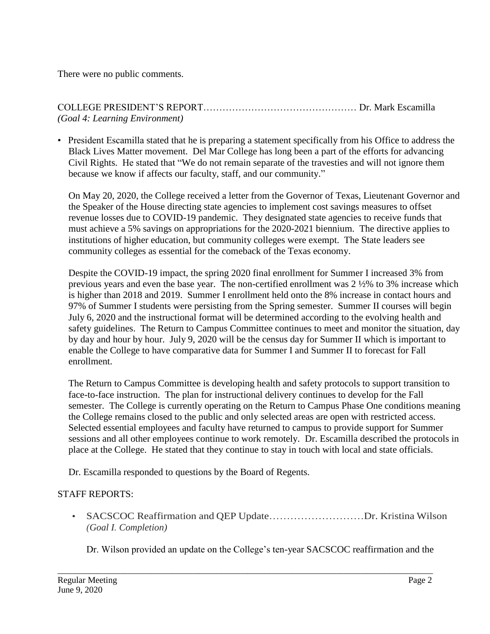There were no public comments.

## COLLEGE PRESIDENT'S REPORT………………………………………… Dr. Mark Escamilla *(Goal 4: Learning Environment)*

 Civil Rights. He stated that "We do not remain separate of the travesties and will not ignore them because we know if affects our faculty, staff, and our community." • President Escamilla stated that he is preparing a statement specifically from his Office to address the Black Lives Matter movement. Del Mar College has long been a part of the efforts for advancing

On May 20, 2020, the College received a letter from the Governor of Texas, Lieutenant Governor and the Speaker of the House directing state agencies to implement cost savings measures to offset revenue losses due to COVID-19 pandemic. They designated state agencies to receive funds that must achieve a 5% savings on appropriations for the 2020-2021 biennium. The directive applies to institutions of higher education, but community colleges were exempt. The State leaders see community colleges as essential for the comeback of the Texas economy.

 enable the College to have comparative data for Summer I and Summer II to forecast for Fall Despite the COVID-19 impact, the spring 2020 final enrollment for Summer I increased 3% from previous years and even the base year. The non-certified enrollment was 2 ½% to 3% increase which is higher than 2018 and 2019. Summer I enrollment held onto the 8% increase in contact hours and 97% of Summer I students were persisting from the Spring semester. Summer II courses will begin July 6, 2020 and the instructional format will be determined according to the evolving health and safety guidelines. The Return to Campus Committee continues to meet and monitor the situation, day by day and hour by hour. July 9, 2020 will be the census day for Summer II which is important to enrollment.

 place at the College. He stated that they continue to stay in touch with local and state officials. The Return to Campus Committee is developing health and safety protocols to support transition to face-to-face instruction. The plan for instructional delivery continues to develop for the Fall semester. The College is currently operating on the Return to Campus Phase One conditions meaning the College remains closed to the public and only selected areas are open with restricted access. Selected essential employees and faculty have returned to campus to provide support for Summer sessions and all other employees continue to work remotely. Dr. Escamilla described the protocols in

Dr. Escamilla responded to questions by the Board of Regents.

## STAFF REPORTS:

• SACSCOC Reaffirmation and QEP Update..............................Dr. Kristina Wilson *(Goal I. Completion)* 

Dr. Wilson provided an update on the College's ten-year SACSCOC reaffirmation and the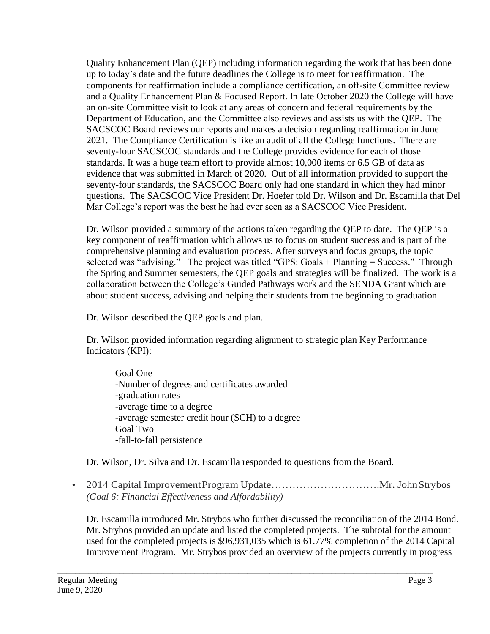up to today's date and the future deadlines the College is to meet for reaffirmation. The Quality Enhancement Plan (QEP) including information regarding the work that has been done components for reaffirmation include a compliance certification, an off-site Committee review and a Quality Enhancement Plan & Focused Report. In late October 2020 the College will have an on-site Committee visit to look at any areas of concern and federal requirements by the Department of Education, and the Committee also reviews and assists us with the QEP. The SACSCOC Board reviews our reports and makes a decision regarding reaffirmation in June 2021. The Compliance Certification is like an audit of all the College functions. There are seventy-four SACSCOC standards and the College provides evidence for each of those standards. It was a huge team effort to provide almost 10,000 items or 6.5 GB of data as evidence that was submitted in March of 2020. Out of all information provided to support the seventy-four standards, the SACSCOC Board only had one standard in which they had minor questions. The SACSCOC Vice President Dr. Hoefer told Dr. Wilson and Dr. Escamilla that Del Mar College's report was the best he had ever seen as a SACSCOC Vice President.

 selected was "advising." The project was titled "GPS: Goals + Planning = Success." Through Dr. Wilson provided a summary of the actions taken regarding the QEP to date. The QEP is a key component of reaffirmation which allows us to focus on student success and is part of the comprehensive planning and evaluation process. After surveys and focus groups, the topic the Spring and Summer semesters, the QEP goals and strategies will be finalized. The work is a collaboration between the College's Guided Pathways work and the SENDA Grant which are about student success, advising and helping their students from the beginning to graduation.

Dr. Wilson described the QEP goals and plan.

Dr. Wilson provided information regarding alignment to strategic plan Key Performance Indicators (KPI):

Goal One -Number of degrees and certificates awarded -graduation rates -average time to a degree -average semester credit hour (SCH) to a degree Goal Two -fall-to-fall persistence

Dr. Wilson, Dr. Silva and Dr. Escamilla responded to questions from the Board.

\_\_\_\_\_\_\_\_\_\_\_\_\_\_\_\_\_\_\_\_\_\_\_\_\_\_\_\_\_\_\_\_\_\_\_\_\_\_\_\_\_\_\_\_\_\_\_\_\_\_\_\_\_\_\_\_\_\_\_\_\_\_\_\_\_\_\_\_\_\_\_\_\_\_\_\_\_\_\_\_\_\_\_\_\_

• 2014 Capital ImprovementProgram [Update………………………….Mr](https://Update����������.Mr). JohnStrybos *(Goal 6: Financial Effectiveness and Affordability)* 

 Improvement Program. Mr. Strybos provided an overview of the projects currently in progress Dr. Escamilla introduced Mr. Strybos who further discussed the reconciliation of the 2014 Bond. Mr. Strybos provided an update and listed the completed projects. The subtotal for the amount used for the completed projects is \$96,931,035 which is 61.77% completion of the 2014 Capital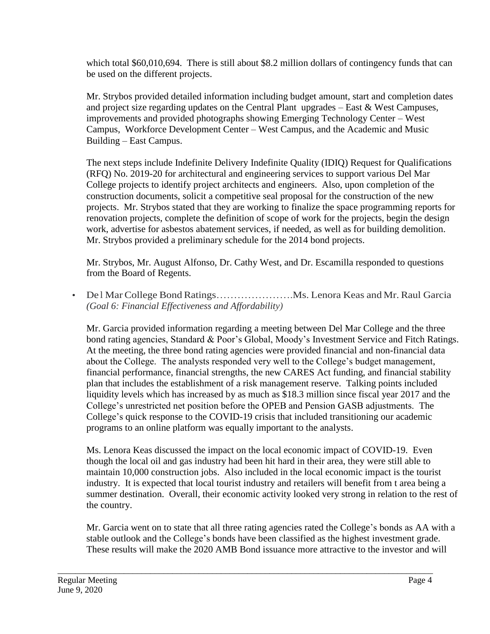which total \$60,010,694. There is still about \$8.2 million dollars of contingency funds that can be used on the different projects.

 improvements and provided photographs showing Emerging Technology Center – West Mr. Strybos provided detailed information including budget amount, start and completion dates and project size regarding updates on the Central Plant upgrades – East & West Campuses, Campus, Workforce Development Center – West Campus, and the Academic and Music Building – East Campus.

 projects. Mr. Strybos stated that they are working to finalize the space programming reports for work, advertise for asbestos abatement services, if needed, as well as for building demolition. Mr. Strybos provided a preliminary schedule for the 2014 bond projects. The next steps include Indefinite Delivery Indefinite Quality (IDIQ) Request for Qualifications (RFQ) No. 2019-20 for architectural and engineering services to support various Del Mar College projects to identify project architects and engineers. Also, upon completion of the construction documents, solicit a competitive seal proposal for the construction of the new renovation projects, complete the definition of scope of work for the projects, begin the design

Mr. Strybos, Mr. August Alfonso, Dr. Cathy West, and Dr. Escamilla responded to questions from the Board of Regents.

• De l Mar College Bond Ratings……………………Ms. Lenora Keas and Mr. Raul Garcia *(Goal 6: Financial Effectiveness and Affordability)* 

 At the meeting, the three bond rating agencies were provided financial and non-financial data Mr. Garcia provided information regarding a meeting between Del Mar College and the three bond rating agencies, Standard & Poor's Global, Moody's Investment Service and Fitch Ratings. about the College. The analysts responded very well to the College's budget management, financial performance, financial strengths, the new CARES Act funding, and financial stability plan that includes the establishment of a risk management reserve. Talking points included liquidity levels which has increased by as much as \$18.3 million since fiscal year 2017 and the College's unrestricted net position before the OPEB and Pension GASB adjustments. The College's quick response to the COVID-19 crisis that included transitioning our academic programs to an online platform was equally important to the analysts.

Ms. Lenora Keas discussed the impact on the local economic impact of COVID-19. Even though the local oil and gas industry had been hit hard in their area, they were still able to maintain 10,000 construction jobs. Also included in the local economic impact is the tourist industry. It is expected that local tourist industry and retailers will benefit from t area being a summer destination. Overall, their economic activity looked very strong in relation to the rest of the country.

stable outlook and the College's bonds have been classified as the highest investment grade. Mr. Garcia went on to state that all three rating agencies rated the College's bonds as AA with a These results will make the 2020 AMB Bond issuance more attractive to the investor and will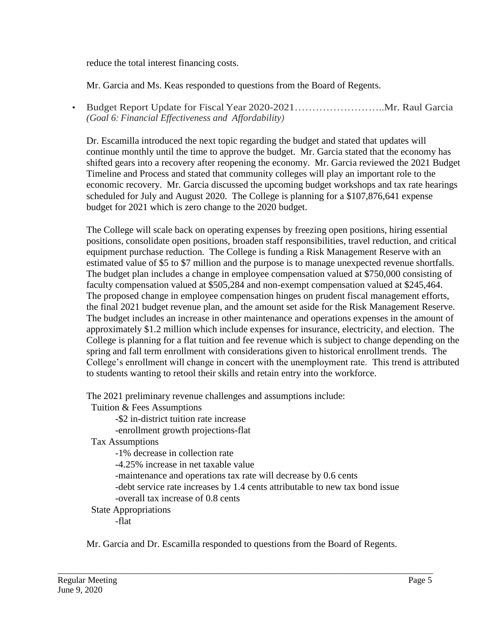reduce the total interest financing costs.

Mr. Garcia and Ms. Keas responded to questions from the Board of Regents.

 • Budget Report Update for Fiscal Year [2020-2021……………………..Mr](https://2020-2021��������..Mr). Raul Garcia *(Goal 6: Financial Effectiveness and Affordability)* 

Dr. Escamilla introduced the next topic regarding the budget and stated that updates will continue monthly until the time to approve the budget. Mr. Garcia stated that the economy has shifted gears into a recovery after reopening the economy. Mr. Garcia reviewed the 2021 Budget Timeline and Process and stated that community colleges will play an important role to the economic recovery. Mr. Garcia discussed the upcoming budget workshops and tax rate hearings scheduled for July and August 2020. The College is planning for a \$107,876,641 expense budget for 2021 which is zero change to the 2020 budget.

 College is planning for a flat tuition and fee revenue which is subject to change depending on the The College will scale back on operating expenses by freezing open positions, hiring essential positions, consolidate open positions, broaden staff responsibilities, travel reduction, and critical equipment purchase reduction. The College is funding a Risk Management Reserve with an estimated value of \$5 to \$7 million and the purpose is to manage unexpected revenue shortfalls. The budget plan includes a change in employee compensation valued at \$750,000 consisting of faculty compensation valued at \$505,284 and non-exempt compensation valued at \$245,464. The proposed change in employee compensation hinges on prudent fiscal management efforts, the final 2021 budget revenue plan, and the amount set aside for the Risk Management Reserve. The budget includes an increase in other maintenance and operations expenses in the amount of approximately \$1.2 million which include expenses for insurance, electricity, and election. The spring and fall term enrollment with considerations given to historical enrollment trends. The College's enrollment will change in concert with the unemployment rate. This trend is attributed to students wanting to retool their skills and retain entry into the workforce.

The 2021 preliminary revenue challenges and assumptions include:

Tuition & Fees Assumptions

-\$2 in-district tuition rate increase

-enrollment growth projections-flat

Tax Assumptions

-1% decrease in collection rate

-4.25% increase in net taxable value

-maintenance and operations tax rate will decrease by 0.6 cents

-debt service rate increases by 1.4 cents attributable to new tax bond issue

-overall tax increase of 0.8 cents

State Appropriations

-flat

Mr. Garcia and Dr. Escamilla responded to questions from the Board of Regents.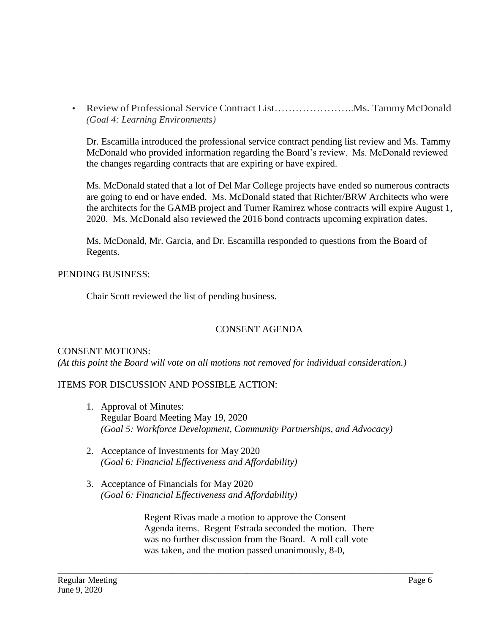• Review of Professional Service Contract List.................................. Ms. Tammy McDonald *(Goal 4: Learning Environments)* 

Dr. Escamilla introduced the professional service contract pending list review and Ms. Tammy McDonald who provided information regarding the Board's review. Ms. McDonald reviewed the changes regarding contracts that are expiring or have expired.

Ms. McDonald stated that a lot of Del Mar College projects have ended so numerous contracts are going to end or have ended. Ms. McDonald stated that Richter/BRW Architects who were the architects for the GAMB project and Turner Ramirez whose contracts will expire August 1, 2020. Ms. McDonald also reviewed the 2016 bond contracts upcoming expiration dates.

Ms. McDonald, Mr. Garcia, and Dr. Escamilla responded to questions from the Board of Regents.

### PENDING BUSINESS:

Chair Scott reviewed the list of pending business.

## CONSENT AGENDA

## CONSENT MOTIONS:

*(At this point the Board will vote on all motions not removed for individual consideration.)* 

## ITEMS FOR DISCUSSION AND POSSIBLE ACTION:

- 1. Approval of Minutes: Regular Board Meeting May 19, 2020 *(Goal 5: Workforce Development, Community Partnerships, and Advocacy)*
- 2. Acceptance of Investments for May 2020 *(Goal 6: Financial Effectiveness and Affordability)*
- 3. Acceptance of Financials for May 2020 *(Goal 6: Financial Effectiveness and Affordability)*

Regent Rivas made a motion to approve the Consent Agenda items. Regent Estrada seconded the motion. There was no further discussion from the Board. A roll call vote was taken, and the motion passed unanimously, 8-0,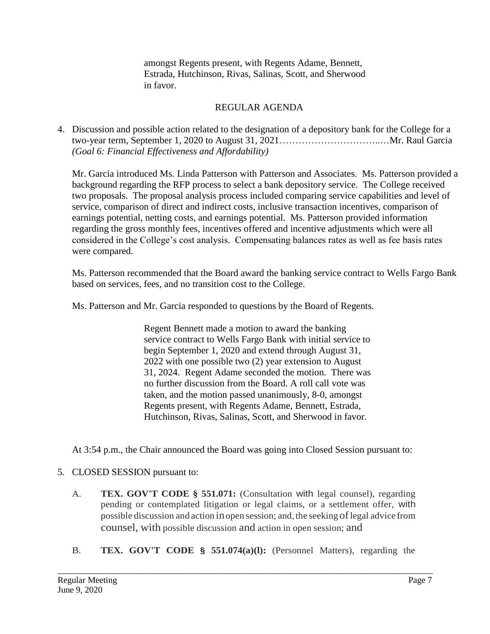amongst Regents present, with Regents Adame, Bennett, Estrada, Hutchinson, Rivas, Salinas, Scott, and Sherwood in favor.

## REGULAR AGENDA

4. Discussion and possible action related to the designation of a depository bank for the College for a two-year term, September 1, 2020 to August 31, 2021…………………………..…Mr. Raul Garcia *(Goal 6: Financial Effectiveness and Affordability)* 

Mr. Garcia introduced Ms. Linda Patterson with Patterson and Associates. Ms. Patterson provided a background regarding the RFP process to select a bank depository service. The College received two proposals. The proposal analysis process included comparing service capabilities and level of service, comparison of direct and indirect costs, inclusive transaction incentives, comparison of earnings potential, netting costs, and earnings potential. Ms. Patterson provided information regarding the gross monthly fees, incentives offered and incentive adjustments which were all considered in the College's cost analysis. Compensating balances rates as well as fee basis rates were compared.

Ms. Patterson recommended that the Board award the banking service contract to Wells Fargo Bank based on services, fees, and no transition cost to the College.

Ms. Patterson and Mr. Garcia responded to questions by the Board of Regents.

Regent Bennett made a motion to award the banking service contract to Wells Fargo Bank with initial service to begin September 1, 2020 and extend through August 31, 2022 with one possible two (2) year extension to August 31, 2024. Regent Adame seconded the motion. There was no further discussion from the Board. A roll call vote was taken, and the motion passed unanimously, 8-0, amongst Regents present, with Regents Adame, Bennett, Estrada, Hutchinson, Rivas, Salinas, Scott, and Sherwood in favor.

At 3:54 p.m., the Chair announced the Board was going into Closed Session pursuant to:

# 5. CLOSED SESSION pursuant to:

- A. **TEX. GOV'T CODE § 551.071:** (Consultation with legal counsel), regarding pending or contemplated litigation or legal claims, or a settlement offer, with possible discussion and action in open session; and, the seeking of legal advice from counsel, with possible discussion and action in open session; and
- B. **TEX. GOV'T CODE § 551.074(a)(l):** (Personnel Matters), regarding the